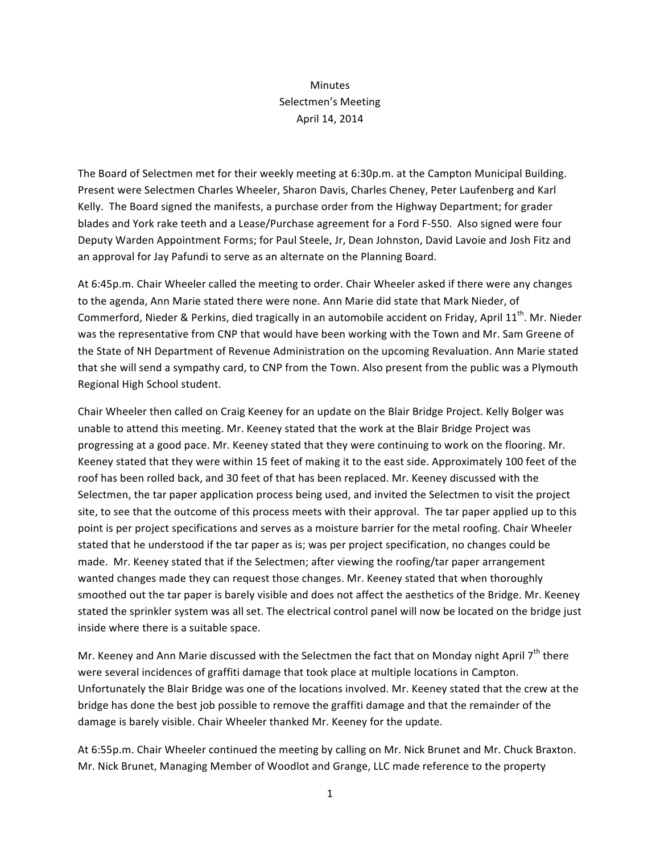## Minutes Selectmen's Meeting April 14, 2014

The Board of Selectmen met for their weekly meeting at 6:30p.m. at the Campton Municipal Building. Present were Selectmen Charles Wheeler, Sharon Davis, Charles Cheney, Peter Laufenberg and Karl Kelly. The Board signed the manifests, a purchase order from the Highway Department; for grader blades and York rake teeth and a Lease/Purchase agreement for a Ford F-550. Also signed were four Deputy Warden Appointment Forms; for Paul Steele, Jr, Dean Johnston, David Lavoie and Josh Fitz and an approval for Jay Pafundi to serve as an alternate on the Planning Board.

At 6:45p.m. Chair Wheeler called the meeting to order. Chair Wheeler asked if there were any changes to the agenda, Ann Marie stated there were none. Ann Marie did state that Mark Nieder, of Commerford, Nieder & Perkins, died tragically in an automobile accident on Friday, April 11<sup>th</sup>. Mr. Nieder was the representative from CNP that would have been working with the Town and Mr. Sam Greene of the State of NH Department of Revenue Administration on the upcoming Revaluation. Ann Marie stated that she will send a sympathy card, to CNP from the Town. Also present from the public was a Plymouth Regional High School student.

Chair Wheeler then called on Craig Keeney for an update on the Blair Bridge Project. Kelly Bolger was unable to attend this meeting. Mr. Keeney stated that the work at the Blair Bridge Project was progressing at a good pace. Mr. Keeney stated that they were continuing to work on the flooring. Mr. Keeney stated that they were within 15 feet of making it to the east side. Approximately 100 feet of the roof has been rolled back, and 30 feet of that has been replaced. Mr. Keeney discussed with the Selectmen, the tar paper application process being used, and invited the Selectmen to visit the project site, to see that the outcome of this process meets with their approval. The tar paper applied up to this point is per project specifications and serves as a moisture barrier for the metal roofing. Chair Wheeler stated that he understood if the tar paper as is; was per project specification, no changes could be made. Mr. Keeney stated that if the Selectmen; after viewing the roofing/tar paper arrangement wanted changes made they can request those changes. Mr. Keeney stated that when thoroughly smoothed out the tar paper is barely visible and does not affect the aesthetics of the Bridge. Mr. Keeney stated the sprinkler system was all set. The electrical control panel will now be located on the bridge just inside where there is a suitable space.

Mr. Keeney and Ann Marie discussed with the Selectmen the fact that on Monday night April  $7<sup>th</sup>$  there were several incidences of graffiti damage that took place at multiple locations in Campton. Unfortunately the Blair Bridge was one of the locations involved. Mr. Keeney stated that the crew at the bridge has done the best job possible to remove the graffiti damage and that the remainder of the damage is barely visible. Chair Wheeler thanked Mr. Keeney for the update.

At 6:55p.m. Chair Wheeler continued the meeting by calling on Mr. Nick Brunet and Mr. Chuck Braxton. Mr. Nick Brunet, Managing Member of Woodlot and Grange, LLC made reference to the property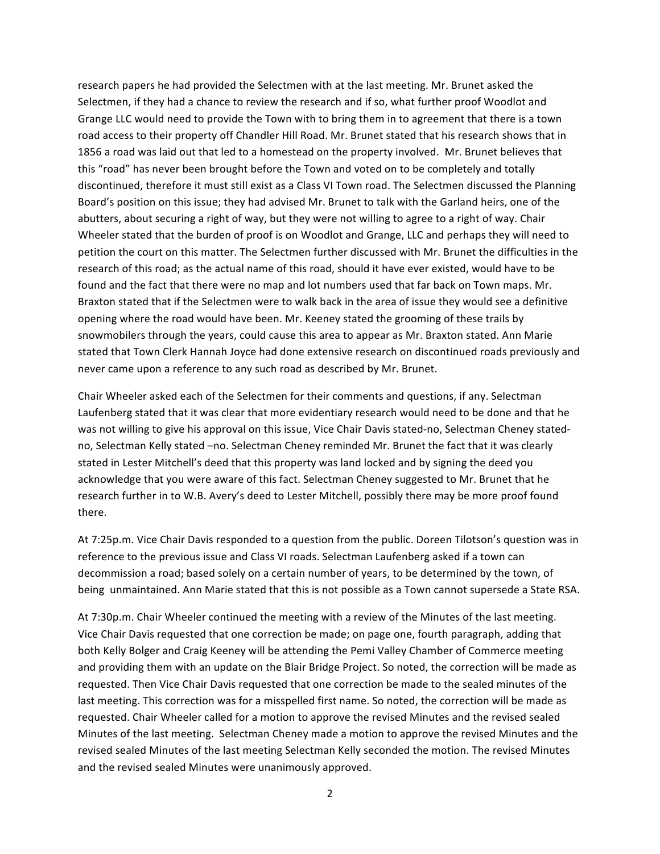research papers he had provided the Selectmen with at the last meeting. Mr. Brunet asked the Selectmen, if they had a chance to review the research and if so, what further proof Woodlot and Grange LLC would need to provide the Town with to bring them in to agreement that there is a town road access to their property off Chandler Hill Road. Mr. Brunet stated that his research shows that in 1856 a road was laid out that led to a homestead on the property involved. Mr. Brunet believes that this "road" has never been brought before the Town and voted on to be completely and totally discontinued, therefore it must still exist as a Class VI Town road. The Selectmen discussed the Planning Board's position on this issue; they had advised Mr. Brunet to talk with the Garland heirs, one of the abutters, about securing a right of way, but they were not willing to agree to a right of way. Chair Wheeler stated that the burden of proof is on Woodlot and Grange, LLC and perhaps they will need to petition the court on this matter. The Selectmen further discussed with Mr. Brunet the difficulties in the research of this road; as the actual name of this road, should it have ever existed, would have to be found and the fact that there were no map and lot numbers used that far back on Town maps. Mr. Braxton stated that if the Selectmen were to walk back in the area of issue they would see a definitive opening where the road would have been. Mr. Keeney stated the grooming of these trails by snowmobilers through the years, could cause this area to appear as Mr. Braxton stated. Ann Marie stated that Town Clerk Hannah Joyce had done extensive research on discontinued roads previously and never came upon a reference to any such road as described by Mr. Brunet.

Chair Wheeler asked each of the Selectmen for their comments and questions, if any. Selectman Laufenberg stated that it was clear that more evidentiary research would need to be done and that he was not willing to give his approval on this issue, Vice Chair Davis stated-no, Selectman Cheney statedno, Selectman Kelly stated -no. Selectman Cheney reminded Mr. Brunet the fact that it was clearly stated in Lester Mitchell's deed that this property was land locked and by signing the deed you acknowledge that you were aware of this fact. Selectman Cheney suggested to Mr. Brunet that he research further in to W.B. Avery's deed to Lester Mitchell, possibly there may be more proof found there. 

At 7:25p.m. Vice Chair Davis responded to a question from the public. Doreen Tilotson's question was in reference to the previous issue and Class VI roads. Selectman Laufenberg asked if a town can decommission a road; based solely on a certain number of years, to be determined by the town, of being unmaintained. Ann Marie stated that this is not possible as a Town cannot supersede a State RSA.

At 7:30p.m. Chair Wheeler continued the meeting with a review of the Minutes of the last meeting. Vice Chair Davis requested that one correction be made; on page one, fourth paragraph, adding that both Kelly Bolger and Craig Keeney will be attending the Pemi Valley Chamber of Commerce meeting and providing them with an update on the Blair Bridge Project. So noted, the correction will be made as requested. Then Vice Chair Davis requested that one correction be made to the sealed minutes of the last meeting. This correction was for a misspelled first name. So noted, the correction will be made as requested. Chair Wheeler called for a motion to approve the revised Minutes and the revised sealed Minutes of the last meeting. Selectman Cheney made a motion to approve the revised Minutes and the revised sealed Minutes of the last meeting Selectman Kelly seconded the motion. The revised Minutes and the revised sealed Minutes were unanimously approved.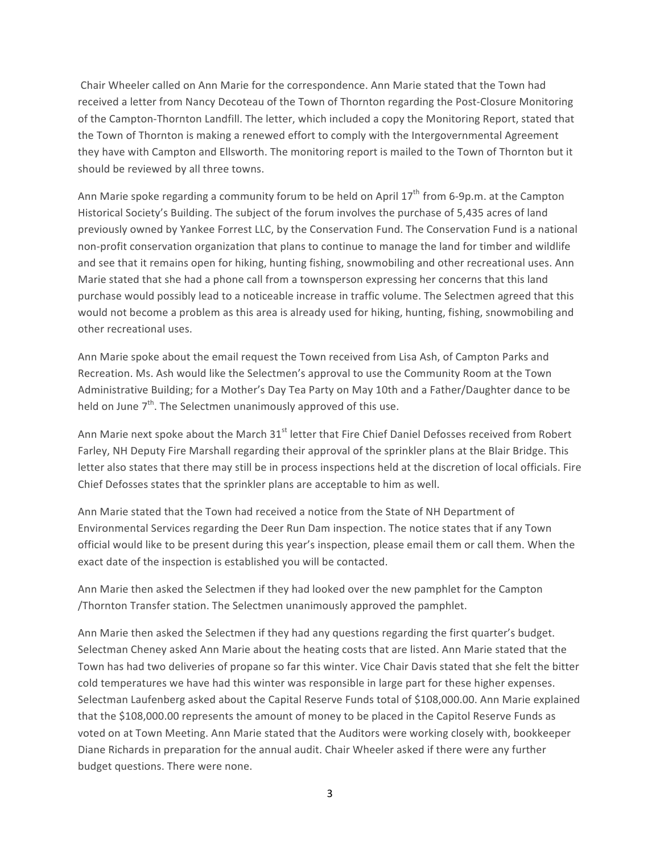Chair Wheeler called on Ann Marie for the correspondence. Ann Marie stated that the Town had received a letter from Nancy Decoteau of the Town of Thornton regarding the Post-Closure Monitoring of the Campton-Thornton Landfill. The letter, which included a copy the Monitoring Report, stated that the Town of Thornton is making a renewed effort to comply with the Intergovernmental Agreement they have with Campton and Ellsworth. The monitoring report is mailed to the Town of Thornton but it should be reviewed by all three towns.

Ann Marie spoke regarding a community forum to be held on April  $17<sup>th</sup>$  from 6-9p.m. at the Campton Historical Society's Building. The subject of the forum involves the purchase of 5,435 acres of land previously owned by Yankee Forrest LLC, by the Conservation Fund. The Conservation Fund is a national non-profit conservation organization that plans to continue to manage the land for timber and wildlife and see that it remains open for hiking, hunting fishing, snowmobiling and other recreational uses. Ann Marie stated that she had a phone call from a townsperson expressing her concerns that this land purchase would possibly lead to a noticeable increase in traffic volume. The Selectmen agreed that this would not become a problem as this area is already used for hiking, hunting, fishing, snowmobiling and other recreational uses.

Ann Marie spoke about the email request the Town received from Lisa Ash, of Campton Parks and Recreation. Ms. Ash would like the Selectmen's approval to use the Community Room at the Town Administrative Building; for a Mother's Day Tea Party on May 10th and a Father/Daughter dance to be held on June  $7<sup>th</sup>$ . The Selectmen unanimously approved of this use.

Ann Marie next spoke about the March 31<sup>st</sup> letter that Fire Chief Daniel Defosses received from Robert Farley, NH Deputy Fire Marshall regarding their approval of the sprinkler plans at the Blair Bridge. This letter also states that there may still be in process inspections held at the discretion of local officials. Fire Chief Defosses states that the sprinkler plans are acceptable to him as well.

Ann Marie stated that the Town had received a notice from the State of NH Department of Environmental Services regarding the Deer Run Dam inspection. The notice states that if any Town official would like to be present during this year's inspection, please email them or call them. When the exact date of the inspection is established you will be contacted.

Ann Marie then asked the Selectmen if they had looked over the new pamphlet for the Campton /Thornton Transfer station. The Selectmen unanimously approved the pamphlet.

Ann Marie then asked the Selectmen if they had any questions regarding the first quarter's budget. Selectman Cheney asked Ann Marie about the heating costs that are listed. Ann Marie stated that the Town has had two deliveries of propane so far this winter. Vice Chair Davis stated that she felt the bitter cold temperatures we have had this winter was responsible in large part for these higher expenses. Selectman Laufenberg asked about the Capital Reserve Funds total of \$108,000.00. Ann Marie explained that the \$108,000.00 represents the amount of money to be placed in the Capitol Reserve Funds as voted on at Town Meeting. Ann Marie stated that the Auditors were working closely with, bookkeeper Diane Richards in preparation for the annual audit. Chair Wheeler asked if there were any further budget questions. There were none.